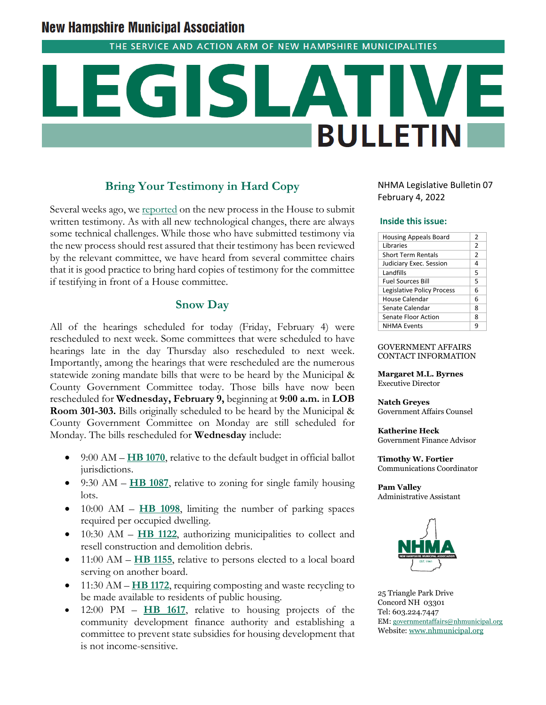# **New Hampshire Municipal Association**

THE SERVICE AND ACTION ARM OF NEW HAMPSHIRE MUNICIPALITIES

# **BULLETIN**

# **Bring Your Testimony in Hard Copy**

Several weeks ago, we [reported](https://www.nhmunicipal.org/legislative-bulletin/2022-nhma-legislative-bulletin-05) on the new process in the House to submit written testimony. As with all new technological changes, there are always some technical challenges. While those who have submitted testimony via the new process should rest assured that their testimony has been reviewed by the relevant committee, we have heard from several committee chairs that it is good practice to bring hard copies of testimony for the committee if testifying in front of a House committee.

# **Snow Day**

All of the hearings scheduled for today (Friday, February 4) were rescheduled to next week. Some committees that were scheduled to have hearings late in the day Thursday also rescheduled to next week. Importantly, among the hearings that were rescheduled are the numerous statewide zoning mandate bills that were to be heard by the Municipal & County Government Committee today. Those bills have now been rescheduled for **Wednesday, February 9,** beginning at **9:00 a.m.** in **LOB Room 301-303.** Bills originally scheduled to be heard by the Municipal & County Government Committee on Monday are still scheduled for Monday. The bills rescheduled for **Wednesday** include:

- 9:00 AM **[HB 1070](https://www.gencourt.state.nh.us/bill_status/pdf.aspx?id=26094&q=billVersion)**, relative to the default budget in official ballot jurisdictions.
- 9:30 AM **[HB 1087](https://www.gencourt.state.nh.us/bill_status/pdf.aspx?id=26119&q=billVersion)**, relative to zoning for single family housing lots.
- 10:00 AM **[HB 1098](https://www.gencourt.state.nh.us/bill_status/pdf.aspx?id=27196&q=billVersion)**, limiting the number of parking spaces required per occupied dwelling.
- 10:30 AM **[HB 1122](https://www.gencourt.state.nh.us/bill_status/pdf.aspx?id=27276&q=billVersion)**, authorizing municipalities to collect and resell construction and demolition debris.
- 11:00 AM **[HB 1155](https://www.gencourt.state.nh.us/bill_status/pdf.aspx?id=27379&q=billVersion)**, relative to persons elected to a local board serving on another board.
- 11:30 AM **[HB 1172](https://www.gencourt.state.nh.us/bill_status/pdf.aspx?id=29219&q=billVersion)**, requiring composting and waste recycling to be made available to residents of public housing.
- 12:00 PM **[HB 1617](https://www.gencourt.state.nh.us/bill_status/pdf.aspx?id=29523&q=billVersion)**, relative to housing projects of the community development finance authority and establishing a committee to prevent state subsidies for housing development that is not income-sensitive.

NHMA Legislative Bulletin 07 February 4, 2022

#### **Inside this issue:**

| <b>Housing Appeals Board</b> | 2              |
|------------------------------|----------------|
| <b>Libraries</b>             | $\overline{2}$ |
| <b>Short Term Rentals</b>    | 2              |
| Judiciary Exec. Session      | 4              |
| Landfills                    | 5              |
| <b>Fuel Sources Bill</b>     | 5              |
| Legislative Policy Process   | 6              |
| House Calendar               | 6              |
| Senate Calendar              | 8              |
| Senate Floor Action          | 8              |
| <b>NHMA Events</b>           | q              |

GOVERNMENT AFFAIRS CONTACT INFORMATION

**Margaret M.L. Byrnes** Executive Director

#### **Natch Greyes**

Government Affairs Counsel

#### **Katherine Heck**

Government Finance Advisor

**Timothy W. Fortier** Communications Coordinator

**Pam Valley** Administrative Assistant



25 Triangle Park Drive Concord NH 03301 Tel: 603.224.7447 EM: [governmentaffairs@nhmunicipal.org](mailto:governmentaffairs@nhmunicipal.org) Website: [www.nhmunicipal.org](http://www.nhmunicipal.org/)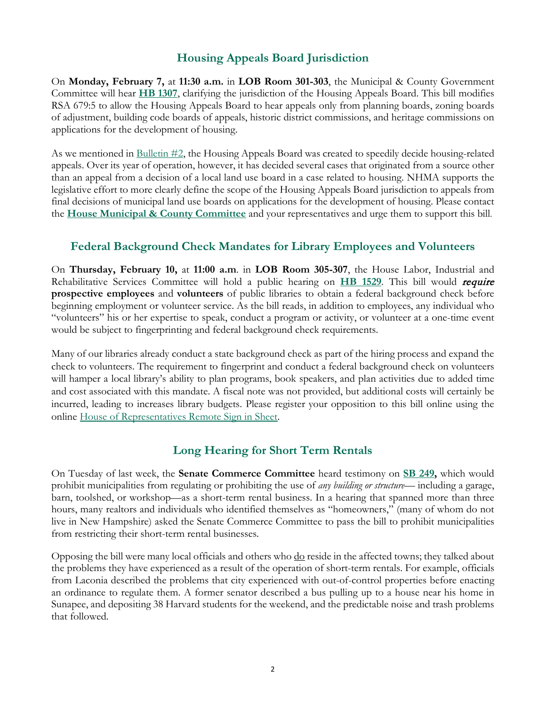# **Housing Appeals Board Jurisdiction**

On **Monday, February 7,** at **11:30 a.m.** in **LOB Room 301-303**, the Municipal & County Government Committee will hear **[HB 1307](http://www.gencourt.state.nh.us/bill_status/pdf.aspx?id=27800&q=billVersion)**, clarifying the jurisdiction of the Housing Appeals Board. This bill modifies RSA 679:5 to allow the Housing Appeals Board to hear appeals only from planning boards, zoning boards of adjustment, building code boards of appeals, historic district commissions, and heritage commissions on applications for the development of housing.

As we mentioned in [Bulletin #2,](https://www.nhmunicipal.org/legislative-bulletin/2022-nhma-legislative-bulletin-02#26193) the Housing Appeals Board was created to speedily decide housing-related appeals. Over its year of operation, however, it has decided several cases that originated from a source other than an appeal from a decision of a local land use board in a case related to housing. NHMA supports the legislative effort to more clearly define the scope of the Housing Appeals Board jurisdiction to appeals from final decisions of municipal land use boards on applications for the development of housing. Please contact the **[House Municipal & County Committee](http://www.gencourt.state.nh.us/house/committees/committeedetails.aspx?id=19)** and your representatives and urge them to support this bill.

# **Federal Background Check Mandates for Library Employees and Volunteers**

On **Thursday, February 10,** at **11:00 a.m**. in **LOB Room 305-307**, the House Labor, Industrial and Rehabilitative Services Committee will hold a public hearing on **[HB 1529](https://www.gencourt.state.nh.us/bill_status/pdf.aspx?id=28750&q=billVersion)**. This bill would require **prospective employees** and **volunteers** of public libraries to obtain a federal background check before beginning employment or volunteer service. As the bill reads, in addition to employees, any individual who "volunteers" his or her expertise to speak, conduct a program or activity, or volunteer at a one-time event would be subject to fingerprinting and federal background check requirements.

Many of our libraries already conduct a state background check as part of the hiring process and expand the check to volunteers. The requirement to fingerprint and conduct a federal background check on volunteers will hamper a local library's ability to plan programs, book speakers, and plan activities due to added time and cost associated with this mandate. A fiscal note was not provided, but additional costs will certainly be incurred, leading to increases library budgets. Please register your opposition to this bill online using the online [House of Representatives Remote Sign in Sheet.](http://www.gencourt.state.nh.us/house/committees/remotetestimony/default.aspx)

# **Long Hearing for Short Term Rentals**

On Tuesday of last week, the **Senate Commerce Committee** heard testimony on **[SB 249,](http://www.gencourt.state.nh.us/bill_status/billinfo.aspx?id=2064&inflect=2)** which would prohibit municipalities from regulating or prohibiting the use of *any building or structure*— including a garage, barn, toolshed, or workshop—as a short-term rental business. In a hearing that spanned more than three hours, many realtors and individuals who identified themselves as "homeowners," (many of whom do not live in New Hampshire) asked the Senate Commerce Committee to pass the bill to prohibit municipalities from restricting their short-term rental businesses.

Opposing the bill were many local officials and others who <u>do</u> reside in the affected towns; they talked about the problems they have experienced as a result of the operation of short-term rentals. For example, officials from Laconia described the problems that city experienced with out-of-control properties before enacting an ordinance to regulate them. A former senator described a bus pulling up to a house near his home in Sunapee, and depositing 38 Harvard students for the weekend, and the predictable noise and trash problems that followed.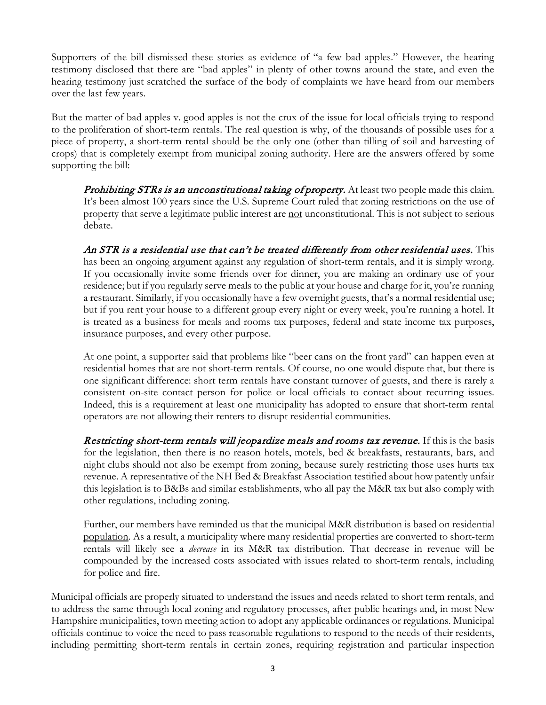Supporters of the bill dismissed these stories as evidence of "a few bad apples." However, the hearing testimony disclosed that there are "bad apples" in plenty of other towns around the state, and even the hearing testimony just scratched the surface of the body of complaints we have heard from our members over the last few years.

But the matter of bad apples v. good apples is not the crux of the issue for local officials trying to respond to the proliferation of short-term rentals. The real question is why, of the thousands of possible uses for a piece of property, a short-term rental should be the only one (other than tilling of soil and harvesting of crops) that is completely exempt from municipal zoning authority. Here are the answers offered by some supporting the bill:

**Prohibiting STRs is an unconstitutional taking of property.** At least two people made this claim. It's been almost 100 years since the U.S. Supreme Court ruled that zoning restrictions on the use of property that serve a legitimate public interest are not unconstitutional. This is not subject to serious debate.

An STR is a residential use that can't be treated differently from other residential uses. This has been an ongoing argument against any regulation of short-term rentals, and it is simply wrong. If you occasionally invite some friends over for dinner, you are making an ordinary use of your residence; but if you regularly serve meals to the public at your house and charge for it, you're running a restaurant. Similarly, if you occasionally have a few overnight guests, that's a normal residential use; but if you rent your house to a different group every night or every week, you're running a hotel. It is treated as a business for meals and rooms tax purposes, federal and state income tax purposes, insurance purposes, and every other purpose.

At one point, a supporter said that problems like "beer cans on the front yard" can happen even at residential homes that are not short-term rentals. Of course, no one would dispute that, but there is one significant difference: short term rentals have constant turnover of guests, and there is rarely a consistent on-site contact person for police or local officials to contact about recurring issues. Indeed, this is a requirement at least one municipality has adopted to ensure that short-term rental operators are not allowing their renters to disrupt residential communities.

Restricting short-term rentals will jeopardize meals and rooms tax revenue. If this is the basis for the legislation, then there is no reason hotels, motels, bed & breakfasts, restaurants, bars, and night clubs should not also be exempt from zoning, because surely restricting those uses hurts tax revenue. A representative of the NH Bed & Breakfast Association testified about how patently unfair this legislation is to B&Bs and similar establishments, who all pay the M&R tax but also comply with other regulations, including zoning.

Further, our members have reminded us that the municipal M&R distribution is based on residential population. As a result, a municipality where many residential properties are converted to short-term rentals will likely see a *decrease* in its M&R tax distribution. That decrease in revenue will be compounded by the increased costs associated with issues related to short-term rentals, including for police and fire.

Municipal officials are properly situated to understand the issues and needs related to short term rentals, and to address the same through local zoning and regulatory processes, after public hearings and, in most New Hampshire municipalities, town meeting action to adopt any applicable ordinances or regulations. Municipal officials continue to voice the need to pass reasonable regulations to respond to the needs of their residents, including permitting short-term rentals in certain zones, requiring registration and particular inspection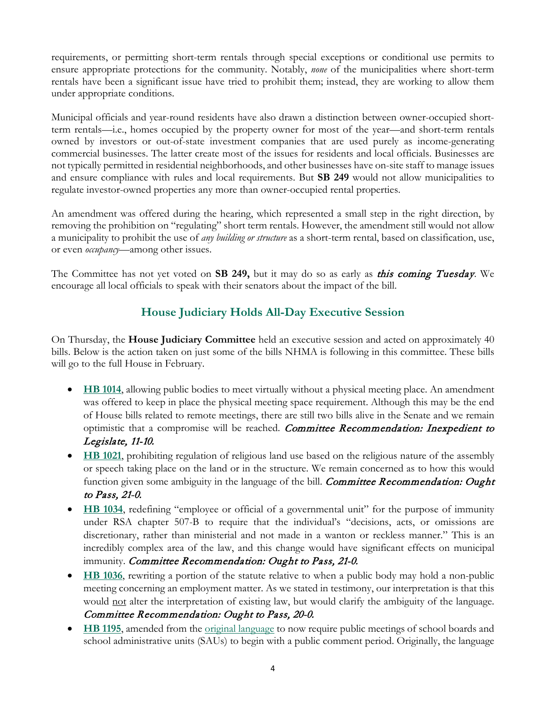requirements, or permitting short-term rentals through special exceptions or conditional use permits to ensure appropriate protections for the community. Notably, *none* of the municipalities where short-term rentals have been a significant issue have tried to prohibit them; instead, they are working to allow them under appropriate conditions.

Municipal officials and year-round residents have also drawn a distinction between owner-occupied shortterm rentals—i.e., homes occupied by the property owner for most of the year—and short-term rentals owned by investors or out-of-state investment companies that are used purely as income-generating commercial businesses. The latter create most of the issues for residents and local officials. Businesses are not typically permitted in residential neighborhoods, and other businesses have on-site staff to manage issues and ensure compliance with rules and local requirements. But **SB 249** would not allow municipalities to regulate investor-owned properties any more than owner-occupied rental properties.

An amendment was offered during the hearing, which represented a small step in the right direction, by removing the prohibition on "regulating" short term rentals. However, the amendment still would not allow a municipality to prohibit the use of *any building or structure* as a short-term rental, based on classification, use, or even *occupancy*—among other issues.

The Committee has not yet voted on **SB 249,** but it may do so as early as this coming Tuesday. We encourage all local officials to speak with their senators about the impact of the bill.

# **House Judiciary Holds All-Day Executive Session**

On Thursday, the **House Judiciary Committee** held an executive session and acted on approximately 40 bills. Below is the action taken on just some of the bills NHMA is following in this committee. These bills will go to the full House in February.

- **[HB 1014](https://www.gencourt.state.nh.us/bill_status/pdf.aspx?id=26014&q=billVersion)**, allowing public bodies to meet virtually without a physical meeting place. An amendment was offered to keep in place the physical meeting space requirement. Although this may be the end of House bills related to remote meetings, there are still two bills alive in the Senate and we remain optimistic that a compromise will be reached. Committee Recommendation: Inexpedient to Legislate, 11-10.
- **[HB 1021](https://www.gencourt.state.nh.us/bill_status/pdf.aspx?id=26021&q=billVersion)**, prohibiting regulation of religious land use based on the religious nature of the assembly or speech taking place on the land or in the structure. We remain concerned as to how this would function given some ambiguity in the language of the bill. *Committee Recommendation: Ought* to Pass, 21-0.
- **[HB 1034](https://www.gencourt.state.nh.us/bill_status/pdf.aspx?id=26052&q=billVersion)**, redefining "employee or official of a governmental unit" for the purpose of immunity under RSA chapter 507-B to require that the individual's "decisions, acts, or omissions are discretionary, rather than ministerial and not made in a wanton or reckless manner." This is an incredibly complex area of the law, and this change would have significant effects on municipal immunity. Committee Recommendation: Ought to Pass, 21-0.
- **[HB 1036](https://www.gencourt.state.nh.us/bill_status/pdf.aspx?id=26057&q=billVersion)**, rewriting a portion of the statute relative to when a public body may hold a non-public meeting concerning an employment matter. As we stated in testimony, our interpretation is that this would not alter the interpretation of existing law, but would clarify the ambiguity of the language. Committee Recommendation: Ought to Pass, 20-0.
- **[HB 1195](http://www.gencourt.state.nh.us/bill_status/pdf.aspx?id=27564&q=billVersion)**, amended from the <u>original language</u> to now require public meetings of school boards and school administrative units (SAUs) to begin with a public comment period. Originally, the language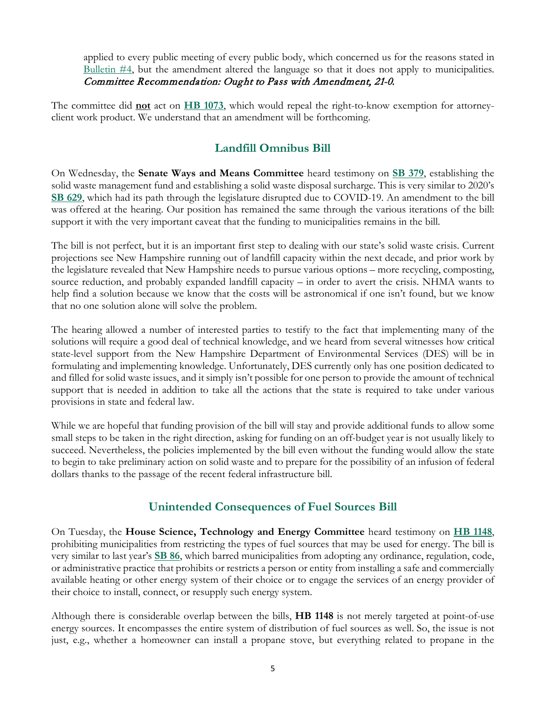applied to every public meeting of every public body, which concerned us for the reasons stated in [Bulletin #4,](https://www.nhmunicipal.org/legislative-bulletin/2022-nhma-legislative-bulletin-04#26352) but the amendment altered the language so that it does not apply to municipalities. Committee Recommendation: Ought to Pass with Amendment, 21-0.

The committee did **not** act on **[HB 1073](https://www.gencourt.state.nh.us/bill_status/pdf.aspx?id=26100&q=billVersion)**, which would repeal the right-to-know exemption for attorneyclient work product. We understand that an amendment will be forthcoming.

# **Landfill Omnibus Bill**

On Wednesday, the **Senate Ways and Means Committee** heard testimony on **[SB 379](http://www.gencourt.state.nh.us/bill_status/pdf.aspx?id=29427&q=billVersion)**, establishing the solid waste management fund and establishing a solid waste disposal surcharge. This is very similar to 2020's **[SB 629](http://www.gencourt.state.nh.us/bill_status/legacy/bs2016/billText.aspx?sy=2020&id=2173&txtFormat=pdf&v=current)**, which had its path through the legislature disrupted due to COVID-19. An amendment to the bill was offered at the hearing. Our position has remained the same through the various iterations of the bill: support it with the very important caveat that the funding to municipalities remains in the bill.

The bill is not perfect, but it is an important first step to dealing with our state's solid waste crisis. Current projections see New Hampshire running out of landfill capacity within the next decade, and prior work by the legislature revealed that New Hampshire needs to pursue various options – more recycling, composting, source reduction, and probably expanded landfill capacity – in order to avert the crisis. NHMA wants to help find a solution because we know that the costs will be astronomical if one isn't found, but we know that no one solution alone will solve the problem.

The hearing allowed a number of interested parties to testify to the fact that implementing many of the solutions will require a good deal of technical knowledge, and we heard from several witnesses how critical state-level support from the New Hampshire Department of Environmental Services (DES) will be in formulating and implementing knowledge. Unfortunately, DES currently only has one position dedicated to and filled for solid waste issues, and it simply isn't possible for one person to provide the amount of technical support that is needed in addition to take all the actions that the state is required to take under various provisions in state and federal law.

While we are hopeful that funding provision of the bill will stay and provide additional funds to allow some small steps to be taken in the right direction, asking for funding on an off-budget year is not usually likely to succeed. Nevertheless, the policies implemented by the bill even without the funding would allow the state to begin to take preliminary action on solid waste and to prepare for the possibility of an infusion of federal dollars thanks to the passage of the recent federal infrastructure bill.

# **Unintended Consequences of Fuel Sources Bill**

On Tuesday, the **House Science, Technology and Energy Committee** heard testimony on **[HB 1148](http://www.gencourt.state.nh.us/bill_status/pdf.aspx?id=27320&q=billVersion)**, prohibiting municipalities from restricting the types of fuel sources that may be used for energy. The bill is very similar to last year's **[SB 86](http://www.gencourt.state.nh.us/bill_status/legacy/bs2016/billText.aspx?sy=2021&id=847&txtFormat=pdf&v=current)**, which barred municipalities from adopting any ordinance, regulation, code, or administrative practice that prohibits or restricts a person or entity from installing a safe and commercially available heating or other energy system of their choice or to engage the services of an energy provider of their choice to install, connect, or resupply such energy system.

Although there is considerable overlap between the bills, **HB 1148** is not merely targeted at point-of-use energy sources. It encompasses the entire system of distribution of fuel sources as well. So, the issue is not just, e.g., whether a homeowner can install a propane stove, but everything related to propane in the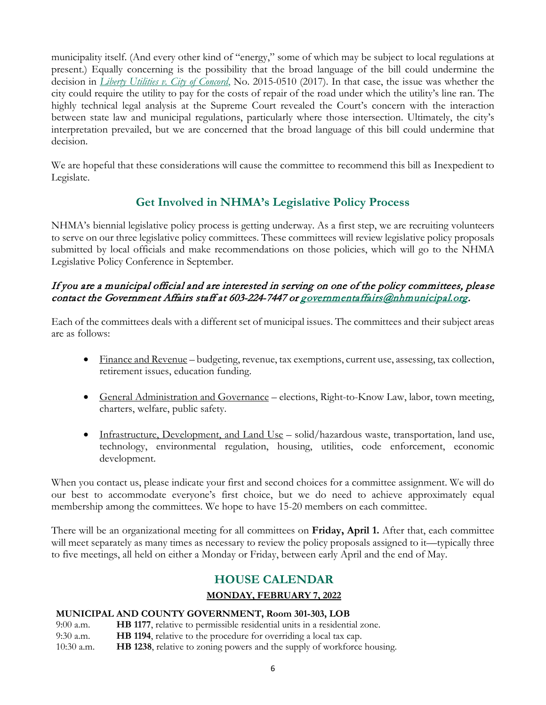municipality itself. (And every other kind of "energy," some of which may be subject to local regulations at present.) Equally concerning is the possibility that the broad language of the bill could undermine the decision in *[Liberty Utilities v. City of Concord](https://www.nhmunicipal.org/court-updates/road-excavation-fees-constitute-valid-and-reasonable-municipal-fees)*, No. 2015-0510 (2017). In that case, the issue was whether the city could require the utility to pay for the costs of repair of the road under which the utility's line ran. The highly technical legal analysis at the Supreme Court revealed the Court's concern with the interaction between state law and municipal regulations, particularly where those intersection. Ultimately, the city's interpretation prevailed, but we are concerned that the broad language of this bill could undermine that decision.

We are hopeful that these considerations will cause the committee to recommend this bill as Inexpedient to Legislate.

# **Get Involved in NHMA's Legislative Policy Process**

NHMA's biennial legislative policy process is getting underway. As a first step, we are recruiting volunteers to serve on our three legislative policy committees. These committees will review legislative policy proposals submitted by local officials and make recommendations on those policies, which will go to the NHMA Legislative Policy Conference in September.

## If you are a municipal official and are interested in serving on one of the policy committees, please contact the Government Affairs staff at 603-224-7447 o[r governmentaffairs@nhmunicipal.org.](mailto:governmentaffairs@nhmunicipal.org)

Each of the committees deals with a different set of municipal issues. The committees and their subject areas are as follows:

- Finance and Revenue budgeting, revenue, tax exemptions, current use, assessing, tax collection, retirement issues, education funding.
- General Administration and Governance elections, Right-to-Know Law, labor, town meeting, charters, welfare, public safety.
- Infrastructure, Development, and Land Use solid/hazardous waste, transportation, land use, technology, environmental regulation, housing, utilities, code enforcement, economic development.

When you contact us, please indicate your first and second choices for a committee assignment. We will do our best to accommodate everyone's first choice, but we do need to achieve approximately equal membership among the committees. We hope to have 15-20 members on each committee.

There will be an organizational meeting for all committees on **Friday, April 1.** After that, each committee will meet separately as many times as necessary to review the policy proposals assigned to it—typically three to five meetings, all held on either a Monday or Friday, between early April and the end of May.

# **HOUSE CALENDAR**

## **MONDAY, FEBRUARY 7, 2022**

## **MUNICIPAL AND COUNTY GOVERNMENT, Room 301-303, LOB**

9:00 a.m. **HB 1177**, relative to permissible residential units in a residential zone. 9:30 a.m. **HB 1194**, relative to the procedure for overriding a local tax cap. 10:30 a.m. **HB 1238**, relative to zoning powers and the supply of workforce housing.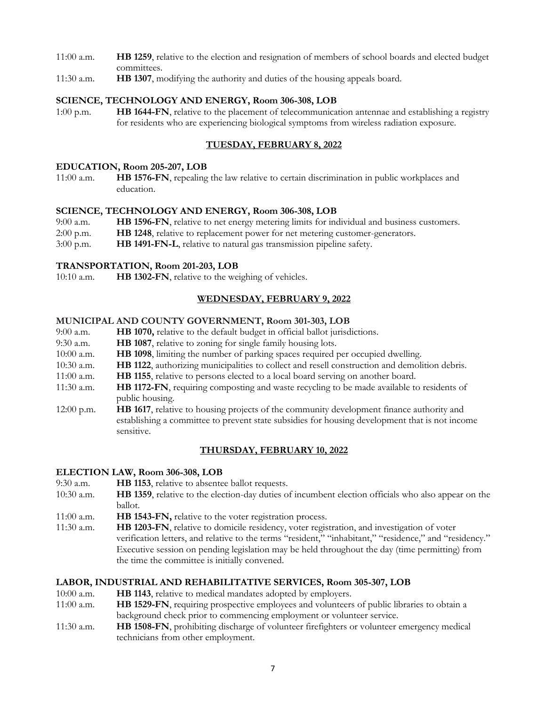- 11:00 a.m. **HB 1259**, relative to the election and resignation of members of school boards and elected budget committees.
- 11:30 a.m. **HB 1307**, modifying the authority and duties of the housing appeals board.

#### **SCIENCE, TECHNOLOGY AND ENERGY, Room 306-308, LOB**

1:00 p.m. **HB 1644-FN**, relative to the placement of telecommunication antennae and establishing a registry for residents who are experiencing biological symptoms from wireless radiation exposure.

## **TUESDAY, FEBRUARY 8, 2022**

#### **EDUCATION, Room 205-207, LOB**

11:00 a.m. **HB 1576-FN**, repealing the law relative to certain discrimination in public workplaces and education.

#### **SCIENCE, TECHNOLOGY AND ENERGY, Room 306-308, LOB**

- 9:00 a.m. **HB 1596-FN**, relative to net energy metering limits for individual and business customers.
- 2:00 p.m. **HB 1248**, relative to replacement power for net metering customer-generators.
- 3:00 p.m. **HB 1491-FN-L**, relative to natural gas transmission pipeline safety.

#### **TRANSPORTATION, Room 201-203, LOB**

10:10 a.m. **HB 1302-FN**, relative to the weighing of vehicles.

## **WEDNESDAY, FEBRUARY 9, 2022**

#### **MUNICIPAL AND COUNTY GOVERNMENT, Room 301-303, LOB**

- 9:00 a.m. **HB 1070,** relative to the default budget in official ballot jurisdictions.
- 9:30 a.m. **HB 1087**, relative to zoning for single family housing lots.
- 10:00 a.m. **HB 1098**, limiting the number of parking spaces required per occupied dwelling.
- 10:30 a.m. **HB 1122**, authorizing municipalities to collect and resell construction and demolition debris.
- 11:00 a.m. **HB 1155**, relative to persons elected to a local board serving on another board.
- 11:30 a.m. **HB 1172-FN**, requiring composting and waste recycling to be made available to residents of public housing.
- 12:00 p.m. **HB 1617**, relative to housing projects of the community development finance authority and establishing a committee to prevent state subsidies for housing development that is not income sensitive.

## **THURSDAY, FEBRUARY 10, 2022**

## **ELECTION LAW, Room 306-308, LOB**

- 9:30 a.m. **HB 1153**, relative to absentee ballot requests.
- 10:30 a.m. **HB 1359**, relative to the election-day duties of incumbent election officials who also appear on the ballot.
- 11:00 a.m. **HB 1543-FN,** relative to the voter registration process.
- 11:30 a.m. **HB 1203-FN**, relative to domicile residency, voter registration, and investigation of voter verification letters, and relative to the terms "resident," "inhabitant," "residence," and "residency." Executive session on pending legislation may be held throughout the day (time permitting) from the time the committee is initially convened.

## **LABOR, INDUSTRIAL AND REHABILITATIVE SERVICES, Room 305-307, LOB**

- 10:00 a.m. **HB 1143**, relative to medical mandates adopted by employers.
- 11:00 a.m. **HB 1529-FN**, requiring prospective employees and volunteers of public libraries to obtain a background check prior to commencing employment or volunteer service.
- 11:30 a.m. **HB 1508-FN**, prohibiting discharge of volunteer firefighters or volunteer emergency medical technicians from other employment.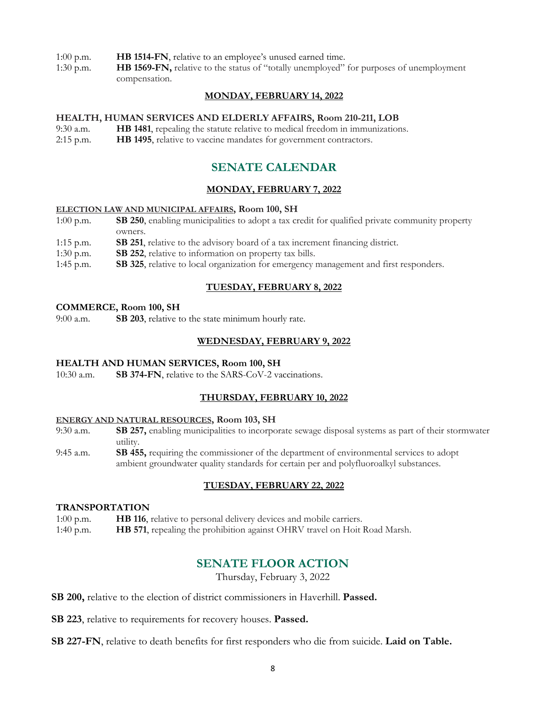- 1:00 p.m. **HB 1514-FN**, relative to an employee's unused earned time.
- 1:30 p.m. **HB 1569-FN,** relative to the status of "totally unemployed" for purposes of unemployment compensation.

## **MONDAY, FEBRUARY 14, 2022**

#### **HEALTH, HUMAN SERVICES AND ELDERLY AFFAIRS, Room 210-211, LOB**

- 9:30 a.m. **HB 1481**, repealing the statute relative to medical freedom in immunizations.
- 2:15 p.m. **HB 1495**, relative to vaccine mandates for government contractors.

# **SENATE CALENDAR**

## **MONDAY, FEBRUARY 7, 2022**

#### **ELECTION LAW AND MUNICIPAL AFFAIRS, Room 100, SH**

- 1:00 p.m. **SB 250**, enabling municipalities to adopt a tax credit for qualified private community property owners.
- 1:15 p.m. **SB 251**, relative to the advisory board of a tax increment financing district.
- 1:30 p.m. **SB 252**, relative to information on property tax bills.
- 1:45 p.m. **SB 325**, relative to local organization for emergency management and first responders.

## **TUESDAY, FEBRUARY 8, 2022**

#### **COMMERCE, Room 100, SH**

9:00 a.m. **SB 203**, relative to the state minimum hourly rate.

## **WEDNESDAY, FEBRUARY 9, 2022**

## **HEALTH AND HUMAN SERVICES, Room 100, SH**

10:30 a.m. **SB 374-FN**, relative to the SARS-CoV-2 vaccinations.

## **THURSDAY, FEBRUARY 10, 2022**

#### **ENERGY AND NATURAL RESOURCES, Room 103, SH**

- 9:30 a.m. **SB 257,** enabling municipalities to incorporate sewage disposal systems as part of their stormwater utility.
- 9:45 a.m. **SB 455,** requiring the commissioner of the department of environmental services to adopt ambient groundwater quality standards for certain per and polyfluoroalkyl substances.

## **TUESDAY, FEBRUARY 22, 2022**

#### **TRANSPORTATION**

- 1:00 p.m. **HB 116**, relative to personal delivery devices and mobile carriers.
- 1:40 p.m. **HB 571**, repealing the prohibition against OHRV travel on Hoit Road Marsh.

# **SENATE FLOOR ACTION**

Thursday, February 3, 2022

**SB 200,** relative to the election of district commissioners in Haverhill. **Passed.**

**SB 223**, relative to requirements for recovery houses. **Passed.**

**SB 227-FN**, relative to death benefits for first responders who die from suicide. **Laid on Table.**